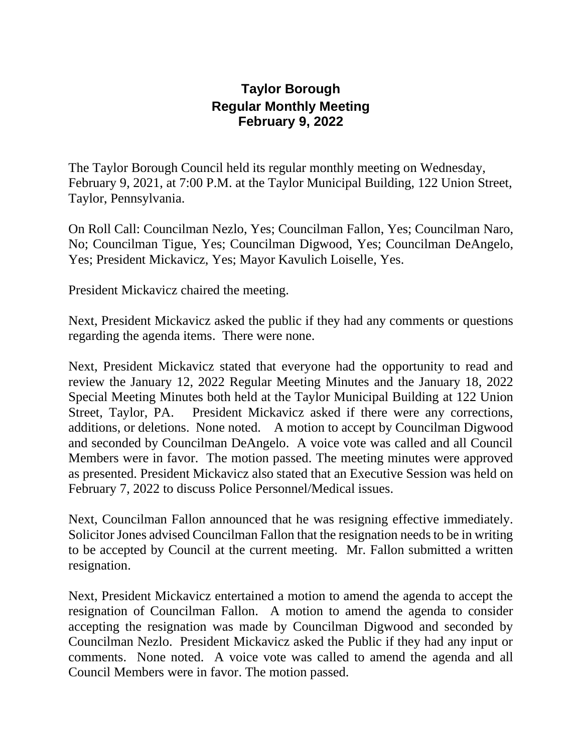## **Taylor Borough Regular Monthly Meeting February 9, 2022**

The Taylor Borough Council held its regular monthly meeting on Wednesday, February 9, 2021, at 7:00 P.M. at the Taylor Municipal Building, 122 Union Street, Taylor, Pennsylvania.

On Roll Call: Councilman Nezlo, Yes; Councilman Fallon, Yes; Councilman Naro, No; Councilman Tigue, Yes; Councilman Digwood, Yes; Councilman DeAngelo, Yes; President Mickavicz, Yes; Mayor Kavulich Loiselle, Yes.

President Mickavicz chaired the meeting.

Next, President Mickavicz asked the public if they had any comments or questions regarding the agenda items. There were none.

Next, President Mickavicz stated that everyone had the opportunity to read and review the January 12, 2022 Regular Meeting Minutes and the January 18, 2022 Special Meeting Minutes both held at the Taylor Municipal Building at 122 Union Street, Taylor, PA. President Mickavicz asked if there were any corrections, additions, or deletions. None noted. A motion to accept by Councilman Digwood and seconded by Councilman DeAngelo. A voice vote was called and all Council Members were in favor. The motion passed. The meeting minutes were approved as presented. President Mickavicz also stated that an Executive Session was held on February 7, 2022 to discuss Police Personnel/Medical issues.

Next, Councilman Fallon announced that he was resigning effective immediately. Solicitor Jones advised Councilman Fallon that the resignation needs to be in writing to be accepted by Council at the current meeting. Mr. Fallon submitted a written resignation.

Next, President Mickavicz entertained a motion to amend the agenda to accept the resignation of Councilman Fallon. A motion to amend the agenda to consider accepting the resignation was made by Councilman Digwood and seconded by Councilman Nezlo. President Mickavicz asked the Public if they had any input or comments. None noted. A voice vote was called to amend the agenda and all Council Members were in favor. The motion passed.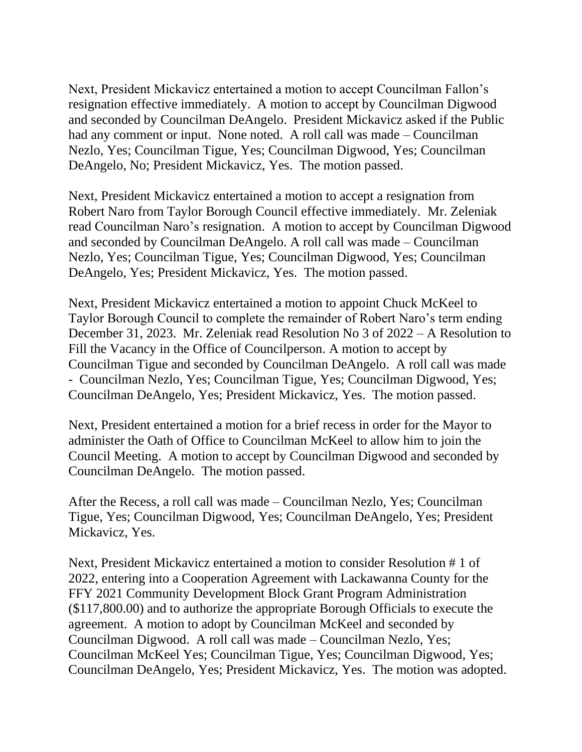Next, President Mickavicz entertained a motion to accept Councilman Fallon's resignation effective immediately. A motion to accept by Councilman Digwood and seconded by Councilman DeAngelo. President Mickavicz asked if the Public had any comment or input. None noted. A roll call was made – Councilman Nezlo, Yes; Councilman Tigue, Yes; Councilman Digwood, Yes; Councilman DeAngelo, No; President Mickavicz, Yes. The motion passed.

Next, President Mickavicz entertained a motion to accept a resignation from Robert Naro from Taylor Borough Council effective immediately. Mr. Zeleniak read Councilman Naro's resignation. A motion to accept by Councilman Digwood and seconded by Councilman DeAngelo. A roll call was made – Councilman Nezlo, Yes; Councilman Tigue, Yes; Councilman Digwood, Yes; Councilman DeAngelo, Yes; President Mickavicz, Yes. The motion passed.

Next, President Mickavicz entertained a motion to appoint Chuck McKeel to Taylor Borough Council to complete the remainder of Robert Naro's term ending December 31, 2023. Mr. Zeleniak read Resolution No 3 of 2022 – A Resolution to Fill the Vacancy in the Office of Councilperson. A motion to accept by Councilman Tigue and seconded by Councilman DeAngelo. A roll call was made - Councilman Nezlo, Yes; Councilman Tigue, Yes; Councilman Digwood, Yes; Councilman DeAngelo, Yes; President Mickavicz, Yes. The motion passed.

Next, President entertained a motion for a brief recess in order for the Mayor to administer the Oath of Office to Councilman McKeel to allow him to join the Council Meeting. A motion to accept by Councilman Digwood and seconded by Councilman DeAngelo. The motion passed.

After the Recess, a roll call was made – Councilman Nezlo, Yes; Councilman Tigue, Yes; Councilman Digwood, Yes; Councilman DeAngelo, Yes; President Mickavicz, Yes.

Next, President Mickavicz entertained a motion to consider Resolution # 1 of 2022, entering into a Cooperation Agreement with Lackawanna County for the FFY 2021 Community Development Block Grant Program Administration (\$117,800.00) and to authorize the appropriate Borough Officials to execute the agreement. A motion to adopt by Councilman McKeel and seconded by Councilman Digwood. A roll call was made – Councilman Nezlo, Yes; Councilman McKeel Yes; Councilman Tigue, Yes; Councilman Digwood, Yes; Councilman DeAngelo, Yes; President Mickavicz, Yes. The motion was adopted.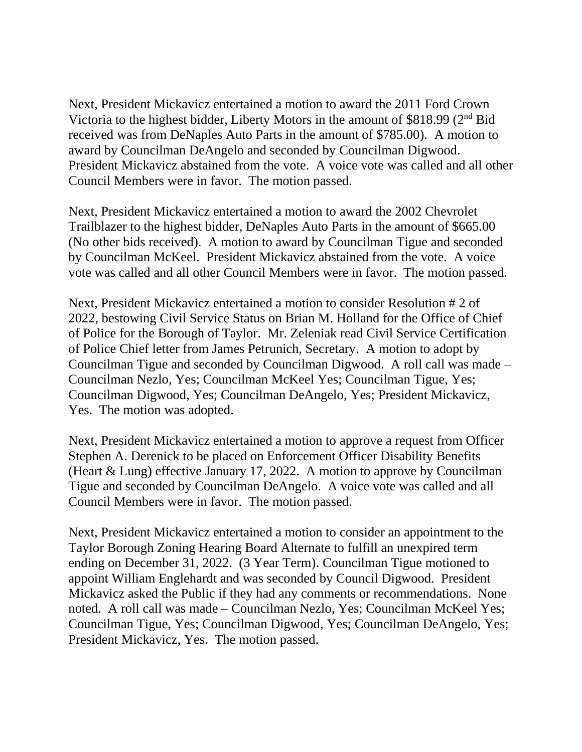Next, President Mickavicz entertained a motion to award the 2011 Ford Crown Victoria to the highest bidder, Liberty Motors in the amount of \$818.99 (2nd Bid received was from DeNaples Auto Parts in the amount of \$785.00). A motion to award by Councilman DeAngelo and seconded by Councilman Digwood. President Mickavicz abstained from the vote. A voice vote was called and all other Council Members were in favor. The motion passed.

Next, President Mickavicz entertained a motion to award the 2002 Chevrolet Trailblazer to the highest bidder, DeNaples Auto Parts in the amount of \$665.00 (No other bids received). A motion to award by Councilman Tigue and seconded by Councilman McKeel. President Mickavicz abstained from the vote. A voice vote was called and all other Council Members were in favor. The motion passed.

Next, President Mickavicz entertained a motion to consider Resolution # 2 of 2022, bestowing Civil Service Status on Brian M. Holland for the Office of Chief of Police for the Borough of Taylor. Mr. Zeleniak read Civil Service Certification of Police Chief letter from James Petrunich, Secretary. A motion to adopt by Councilman Tigue and seconded by Councilman Digwood. A roll call was made – Councilman Nezlo, Yes; Councilman McKeel Yes; Councilman Tigue, Yes; Councilman Digwood, Yes; Councilman DeAngelo, Yes; President Mickavicz, Yes. The motion was adopted.

Next, President Mickavicz entertained a motion to approve a request from Officer Stephen A. Derenick to be placed on Enforcement Officer Disability Benefits (Heart & Lung) effective January 17, 2022. A motion to approve by Councilman Tigue and seconded by Councilman DeAngelo. A voice vote was called and all Council Members were in favor. The motion passed.

Next, President Mickavicz entertained a motion to consider an appointment to the Taylor Borough Zoning Hearing Board Alternate to fulfill an unexpired term ending on December 31, 2022. (3 Year Term). Councilman Tigue motioned to appoint William Englehardt and was seconded by Council Digwood. President Mickavicz asked the Public if they had any comments or recommendations. None noted. A roll call was made – Councilman Nezlo, Yes; Councilman McKeel Yes; Councilman Tigue, Yes; Councilman Digwood, Yes; Councilman DeAngelo, Yes; President Mickavicz, Yes. The motion passed.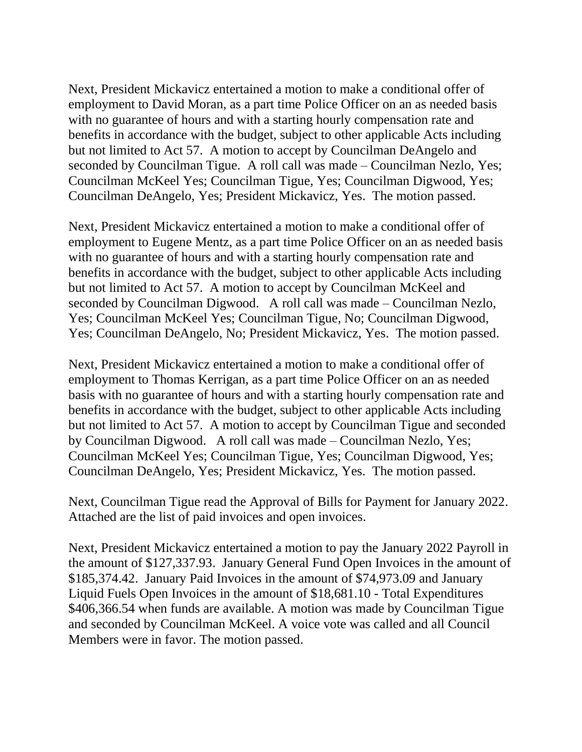Next, President Mickavicz entertained a motion to make a conditional offer of employment to David Moran, as a part time Police Officer on an as needed basis with no guarantee of hours and with a starting hourly compensation rate and benefits in accordance with the budget, subject to other applicable Acts including but not limited to Act 57. A motion to accept by Councilman DeAngelo and seconded by Councilman Tigue. A roll call was made – Councilman Nezlo, Yes; Councilman McKeel Yes; Councilman Tigue, Yes; Councilman Digwood, Yes; Councilman DeAngelo, Yes; President Mickavicz, Yes. The motion passed.

Next, President Mickavicz entertained a motion to make a conditional offer of employment to Eugene Mentz, as a part time Police Officer on an as needed basis with no guarantee of hours and with a starting hourly compensation rate and benefits in accordance with the budget, subject to other applicable Acts including but not limited to Act 57. A motion to accept by Councilman McKeel and seconded by Councilman Digwood. A roll call was made – Councilman Nezlo, Yes; Councilman McKeel Yes; Councilman Tigue, No; Councilman Digwood, Yes; Councilman DeAngelo, No; President Mickavicz, Yes. The motion passed.

Next, President Mickavicz entertained a motion to make a conditional offer of employment to Thomas Kerrigan, as a part time Police Officer on an as needed basis with no guarantee of hours and with a starting hourly compensation rate and benefits in accordance with the budget, subject to other applicable Acts including but not limited to Act 57. A motion to accept by Councilman Tigue and seconded by Councilman Digwood. A roll call was made – Councilman Nezlo, Yes; Councilman McKeel Yes; Councilman Tigue, Yes; Councilman Digwood, Yes; Councilman DeAngelo, Yes; President Mickavicz, Yes. The motion passed.

Next, Councilman Tigue read the Approval of Bills for Payment for January 2022. Attached are the list of paid invoices and open invoices.

Next, President Mickavicz entertained a motion to pay the January 2022 Payroll in the amount of \$127,337.93. January General Fund Open Invoices in the amount of \$185,374.42. January Paid Invoices in the amount of \$74,973.09 and January Liquid Fuels Open Invoices in the amount of \$18,681.10 - Total Expenditures \$406,366.54 when funds are available. A motion was made by Councilman Tigue and seconded by Councilman McKeel. A voice vote was called and all Council Members were in favor. The motion passed.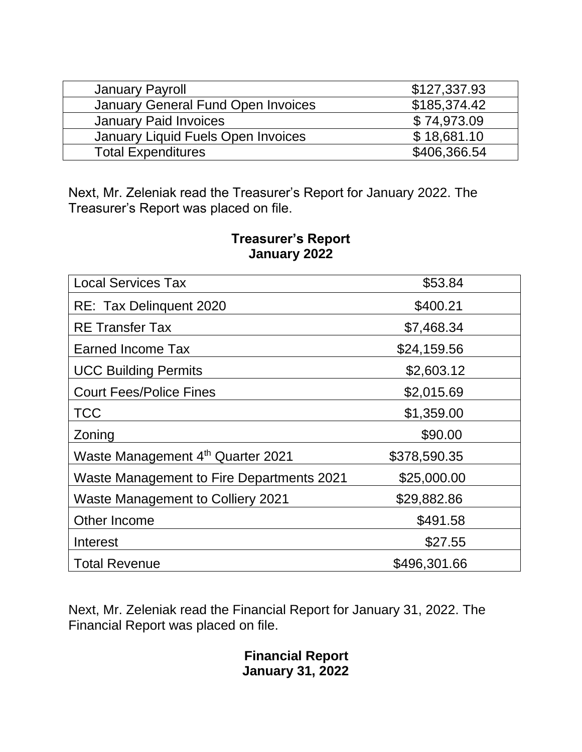| January Payroll                    | \$127,337.93 |
|------------------------------------|--------------|
| January General Fund Open Invoices | \$185,374.42 |
| <b>January Paid Invoices</b>       | \$74,973.09  |
| January Liquid Fuels Open Invoices | \$18,681.10  |
| <b>Total Expenditures</b>          | \$406,366.54 |

Next, Mr. Zeleniak read the Treasurer's Report for January 2022. The Treasurer's Report was placed on file.

| <b>Local Services Tax</b>                        | \$53.84      |
|--------------------------------------------------|--------------|
| RE: Tax Delinquent 2020                          | \$400.21     |
| <b>RE</b> Transfer Tax                           | \$7,468.34   |
| Earned Income Tax                                | \$24,159.56  |
| <b>UCC Building Permits</b>                      | \$2,603.12   |
| <b>Court Fees/Police Fines</b>                   | \$2,015.69   |
| <b>TCC</b>                                       | \$1,359.00   |
| Zoning                                           | \$90.00      |
| Waste Management 4th Quarter 2021                | \$378,590.35 |
| <b>Waste Management to Fire Departments 2021</b> | \$25,000.00  |
| Waste Management to Colliery 2021                | \$29,882.86  |
| Other Income                                     | \$491.58     |
| Interest                                         | \$27.55      |
| <b>Total Revenue</b>                             | \$496,301.66 |

## **Treasurer's Report January 2022**

Next, Mr. Zeleniak read the Financial Report for January 31, 2022. The Financial Report was placed on file.

> **Financial Report January 31, 2022**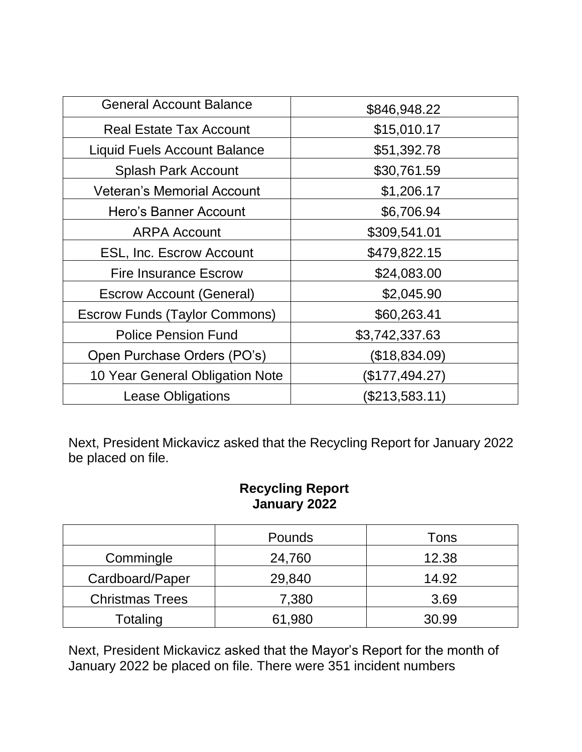| <b>General Account Balance</b>       | \$846,948.22   |
|--------------------------------------|----------------|
| <b>Real Estate Tax Account</b>       | \$15,010.17    |
| <b>Liquid Fuels Account Balance</b>  | \$51,392.78    |
| <b>Splash Park Account</b>           | \$30,761.59    |
| <b>Veteran's Memorial Account</b>    | \$1,206.17     |
| Hero's Banner Account                | \$6,706.94     |
| <b>ARPA Account</b>                  | \$309,541.01   |
| <b>ESL, Inc. Escrow Account</b>      | \$479,822.15   |
| <b>Fire Insurance Escrow</b>         | \$24,083.00    |
| <b>Escrow Account (General)</b>      | \$2,045.90     |
| <b>Escrow Funds (Taylor Commons)</b> | \$60,263.41    |
| <b>Police Pension Fund</b>           | \$3,742,337.63 |
| Open Purchase Orders (PO's)          | (\$18,834.09)  |
| 10 Year General Obligation Note      | (\$177,494.27) |
| <b>Lease Obligations</b>             | (\$213,583.11) |

Next, President Mickavicz asked that the Recycling Report for January 2022 be placed on file.

## **Recycling Report January 2022**

|                        | Pounds | Tons  |
|------------------------|--------|-------|
| Commingle              | 24,760 | 12.38 |
| Cardboard/Paper        | 29,840 | 14.92 |
| <b>Christmas Trees</b> | 7,380  | 3.69  |
| Totaling               | 61,980 | 30.99 |

Next, President Mickavicz asked that the Mayor's Report for the month of January 2022 be placed on file. There were 351 incident numbers